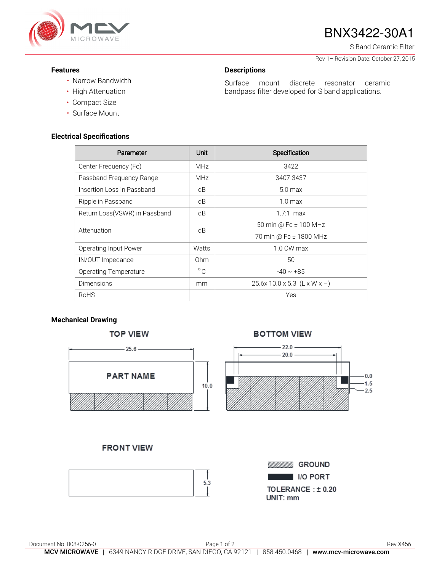

# BNX3422-30A1

S Band Ceramic Filter

Rev 1– Revision Date: October 27, 2015

### **Features**

• High Attenuation

# **Descriptions**

• Narrow Bandwidth

Surface mount discrete resonator ceramic bandpass filter developed for S band applications.

## **Electrical Specifications**

• Compact Size • Surface Mount

| Parameter                     | Unit         | Specification                |
|-------------------------------|--------------|------------------------------|
| Center Frequency (Fc)         | <b>MHz</b>   | 3422                         |
| Passband Frequency Range      | <b>MHz</b>   | 3407-3437                    |
| Insertion Loss in Passband    | dB           | 5.0 <sub>max</sub>           |
| Ripple in Passband            | dB           | 1.0 <sub>max</sub>           |
| Return Loss(VSWR) in Passband | dB           | $1.7:1$ max                  |
| Attenuation                   | dB           | 50 min @ Fc ± 100 MHz        |
|                               |              | 70 min @ Fc ± 1800 MHz       |
| Operating Input Power         | Watts        | $1.0 \text{ CW}$ max         |
| IN/OUT Impedance              | 0hm          | 50                           |
| <b>Operating Temperature</b>  | $^{\circ}$ C | $-40 \sim +85$               |
| <b>Dimensions</b>             | mm           | 25.6x 10.0 x 5.3 (L x W x H) |
| <b>RoHS</b>                   | ۰            | Yes                          |

### **Mechanical Drawing**